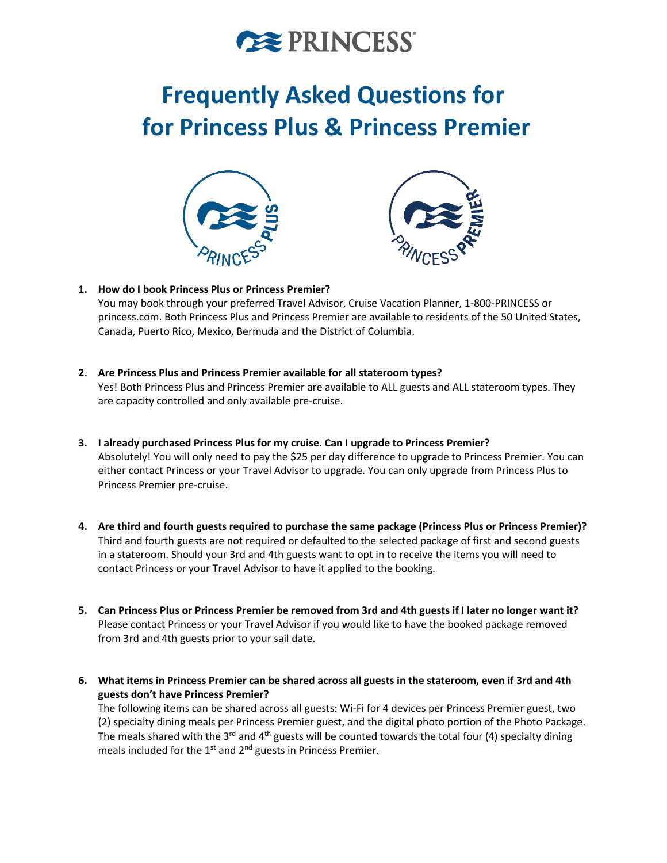

# **Frequently Asked Questions for for Princess Plus & Princess Premier**





# **1. How do I book Princess Plus or Princess Premier?**

You may book through your preferred Travel Advisor, Cruise Vacation Planner, 1-800-PRINCESS or princess.com. Both Princess Plus and Princess Premier are available to residents of the 50 United States, Canada, Puerto Rico, Mexico, Bermuda and the District of Columbia.

- **2. Are Princess Plus and Princess Premier available for all stateroom types?** Yes! Both Princess Plus and Princess Premier are available to ALL guests and ALL stateroom types. They are capacity controlled and only available pre-cruise.
- **3. I already purchased Princess Plus for my cruise. Can I upgrade to Princess Premier?** Absolutely! You will only need to pay the \$25 per day difference to upgrade to Princess Premier. You can either contact Princess or your Travel Advisor to upgrade. You can only upgrade from Princess Plus to Princess Premier pre-cruise.
- **4. Are third and fourth guests required to purchase the same package (Princess Plus or Princess Premier)?**  Third and fourth guests are not required or defaulted to the selected package of first and second guests in a stateroom. Should your 3rd and 4th guests want to opt in to receive the items you will need to contact Princess or your Travel Advisor to have it applied to the booking.
- **5. Can Princess Plus or Princess Premier be removed from 3rd and 4th guests if I later no longer want it?** Please contact Princess or your Travel Advisor if you would like to have the booked package removed from 3rd and 4th guests prior to your sail date.
- **6. What items in Princess Premier can be shared across all guests in the stateroom, even if 3rd and 4th guests don't have Princess Premier?**

The following items can be shared across all guests: Wi-Fi for 4 devices per Princess Premier guest, two (2) specialty dining meals per Princess Premier guest, and the digital photo portion of the Photo Package. The meals shared with the 3<sup>rd</sup> and 4<sup>th</sup> guests will be counted towards the total four (4) specialty dining meals included for the 1<sup>st</sup> and 2<sup>nd</sup> guests in Princess Premier.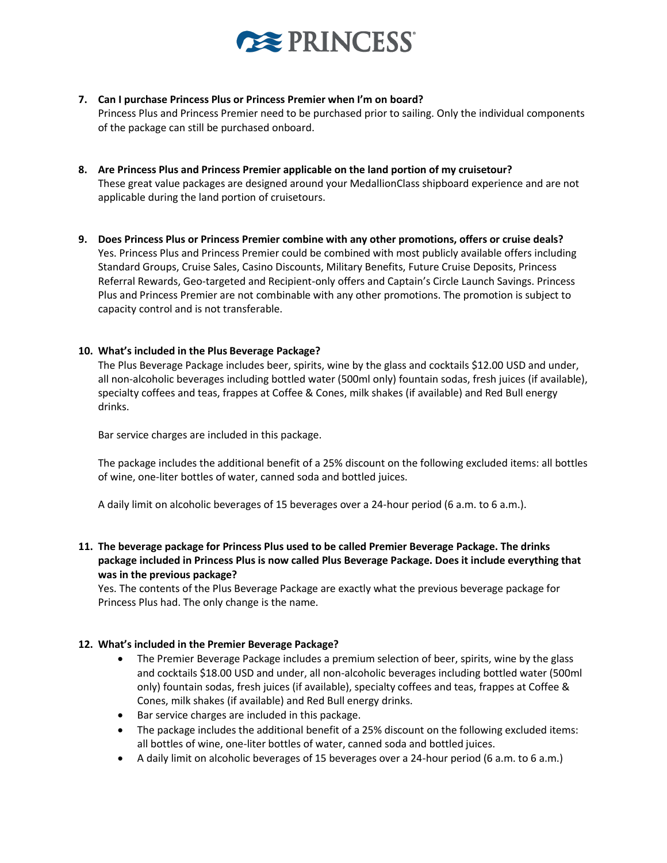

**7. Can I purchase Princess Plus or Princess Premier when I'm on board?**

Princess Plus and Princess Premier need to be purchased prior to sailing. Only the individual components of the package can still be purchased onboard.

- **8. Are Princess Plus and Princess Premier applicable on the land portion of my cruisetour?** These great value packages are designed around your MedallionClass shipboard experience and are not applicable during the land portion of cruisetours.
- **9. Does Princess Plus or Princess Premier combine with any other promotions, offers or cruise deals?** Yes. Princess Plus and Princess Premier could be combined with most publicly available offers including Standard Groups, Cruise Sales, Casino Discounts, Military Benefits, Future Cruise Deposits, Princess Referral Rewards, Geo-targeted and Recipient-only offers and Captain's Circle Launch Savings. Princess Plus and Princess Premier are not combinable with any other promotions. The promotion is subject to capacity control and is not transferable.

# **10. What's included in the Plus Beverage Package?**

The Plus Beverage Package includes beer, spirits, wine by the glass and cocktails \$12.00 USD and under, all non-alcoholic beverages including bottled water (500ml only) fountain sodas, fresh juices (if available), specialty coffees and teas, frappes at Coffee & Cones, milk shakes (if available) and Red Bull energy drinks.

Bar service charges are included in this package.

The package includes the additional benefit of a 25% discount on the following excluded items: all bottles of wine, one-liter bottles of water, canned soda and bottled juices.

A daily limit on alcoholic beverages of 15 beverages over a 24-hour period (6 a.m. to 6 a.m.).

**11. The beverage package for Princess Plus used to be called Premier Beverage Package. The drinks package included in Princess Plus is now called Plus Beverage Package. Does it include everything that was in the previous package?**

Yes. The contents of the Plus Beverage Package are exactly what the previous beverage package for Princess Plus had. The only change is the name.

#### **12. What's included in the Premier Beverage Package?**

- The Premier Beverage Package includes a premium selection of beer, spirits, wine by the glass and cocktails \$18.00 USD and under, all non-alcoholic beverages including bottled water (500ml only) fountain sodas, fresh juices (if available), specialty coffees and teas, frappes at Coffee & Cones, milk shakes (if available) and Red Bull energy drinks.
- Bar service charges are included in this package.
- The package includes the additional benefit of a 25% discount on the following excluded items: all bottles of wine, one-liter bottles of water, canned soda and bottled juices.
- A daily limit on alcoholic beverages of 15 beverages over a 24-hour period (6 a.m. to 6 a.m.)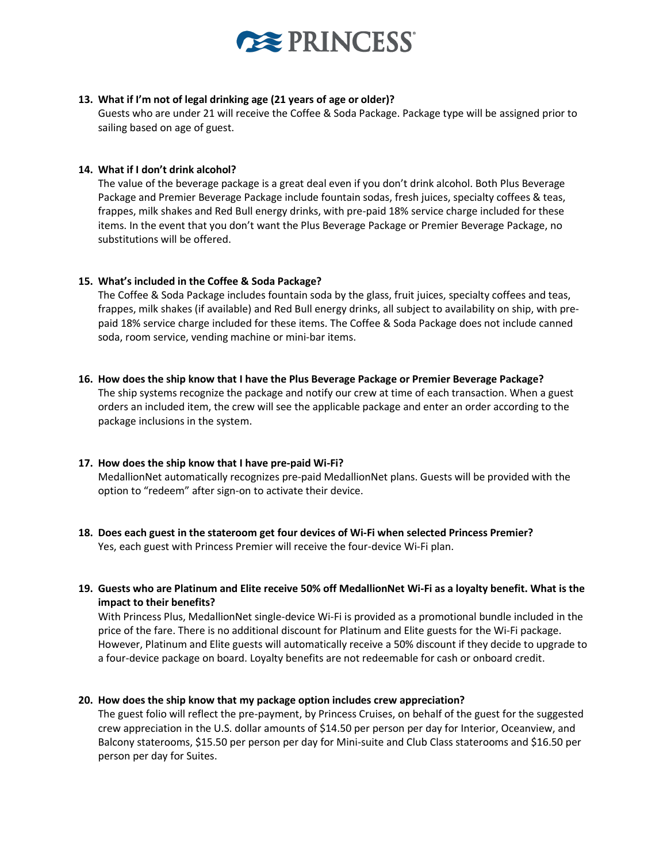

### **13. What if I'm not of legal drinking age (21 years of age or older)?**

Guests who are under 21 will receive the Coffee & Soda Package. Package type will be assigned prior to sailing based on age of guest.

### **14. What if I don't drink alcohol?**

The value of the beverage package is a great deal even if you don't drink alcohol. Both Plus Beverage Package and Premier Beverage Package include fountain sodas, fresh juices, specialty coffees & teas, frappes, milk shakes and Red Bull energy drinks, with pre-paid 18% service charge included for these items. In the event that you don't want the Plus Beverage Package or Premier Beverage Package, no substitutions will be offered.

# **15. What's included in the Coffee & Soda Package?**

The Coffee & Soda Package includes fountain soda by the glass, fruit juices, specialty coffees and teas, frappes, milk shakes (if available) and Red Bull energy drinks, all subject to availability on ship, with prepaid 18% service charge included for these items. The Coffee & Soda Package does not include canned soda, room service, vending machine or mini-bar items.

#### **16. How does the ship know that I have the Plus Beverage Package or Premier Beverage Package?**

The ship systems recognize the package and notify our crew at time of each transaction. When a guest orders an included item, the crew will see the applicable package and enter an order according to the package inclusions in the system.

#### **17. How does the ship know that I have pre-paid Wi-Fi?**

MedallionNet automatically recognizes pre-paid MedallionNet plans. Guests will be provided with the option to "redeem" after sign-on to activate their device.

- **18. Does each guest in the stateroom get four devices of Wi-Fi when selected Princess Premier?**  Yes, each guest with Princess Premier will receive the four-device Wi-Fi plan.
- **19. Guests who are Platinum and Elite receive 50% off MedallionNet Wi-Fi as a loyalty benefit. What is the impact to their benefits?**

With Princess Plus, MedallionNet single-device Wi-Fi is provided as a promotional bundle included in the price of the fare. There is no additional discount for Platinum and Elite guests for the Wi-Fi package. However, Platinum and Elite guests will automatically receive a 50% discount if they decide to upgrade to a four-device package on board. Loyalty benefits are not redeemable for cash or onboard credit.

#### **20. How does the ship know that my package option includes crew appreciation?**

The guest folio will reflect the pre-payment, by Princess Cruises, on behalf of the guest for the suggested crew appreciation in the U.S. dollar amounts of \$14.50 per person per day for Interior, Oceanview, and Balcony staterooms, \$15.50 per person per day for Mini-suite and Club Class staterooms and \$16.50 per person per day for Suites.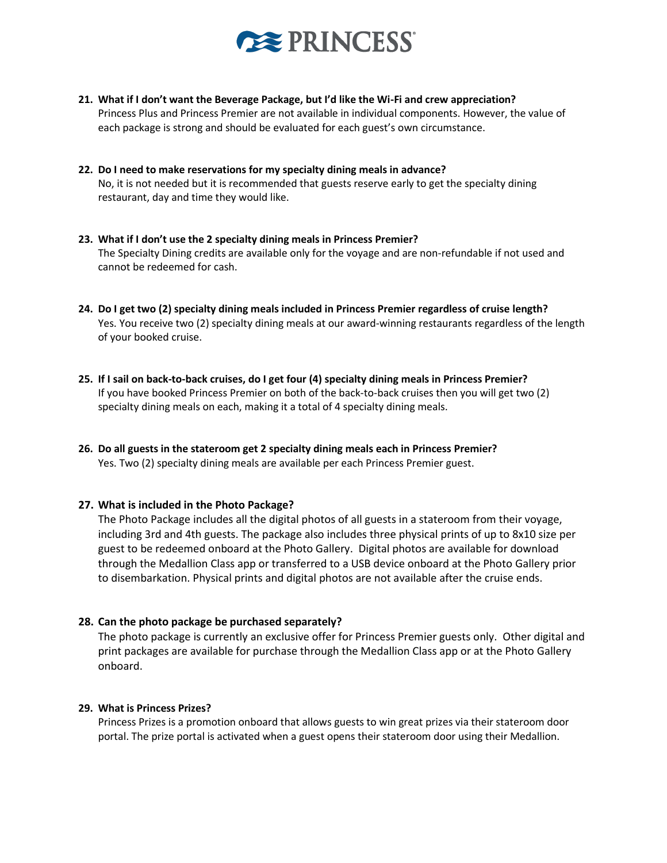

- **21. What if I don't want the Beverage Package, but I'd like the Wi-Fi and crew appreciation?** Princess Plus and Princess Premier are not available in individual components. However, the value of each package is strong and should be evaluated for each guest's own circumstance.
- **22. Do I need to make reservations for my specialty dining meals in advance?** No, it is not needed but it is recommended that guests reserve early to get the specialty dining restaurant, day and time they would like.
- **23. What if I don't use the 2 specialty dining meals in Princess Premier?** The Specialty Dining credits are available only for the voyage and are non-refundable if not used and cannot be redeemed for cash.
- **24. Do I get two (2) specialty dining meals included in Princess Premier regardless of cruise length?** Yes. You receive two (2) specialty dining meals at our award-winning restaurants regardless of the length of your booked cruise.
- **25. If I sail on back-to-back cruises, do I get four (4) specialty dining meals in Princess Premier?**  If you have booked Princess Premier on both of the back-to-back cruises then you will get two (2) specialty dining meals on each, making it a total of 4 specialty dining meals.
- **26. Do all guests in the stateroom get 2 specialty dining meals each in Princess Premier?** Yes. Two (2) specialty dining meals are available per each Princess Premier guest.

#### **27. What is included in the Photo Package?**

The Photo Package includes all the digital photos of all guests in a stateroom from their voyage, including 3rd and 4th guests. The package also includes three physical prints of up to 8x10 size per guest to be redeemed onboard at the Photo Gallery. Digital photos are available for download through the Medallion Class app or transferred to a USB device onboard at the Photo Gallery prior to disembarkation. Physical prints and digital photos are not available after the cruise ends.

#### **28. Can the photo package be purchased separately?**

The photo package is currently an exclusive offer for Princess Premier guests only. Other digital and print packages are available for purchase through the Medallion Class app or at the Photo Gallery onboard.

#### **29. What is Princess Prizes?**

Princess Prizes is a promotion onboard that allows guests to win great prizes via their stateroom door portal. The prize portal is activated when a guest opens their stateroom door using their Medallion.